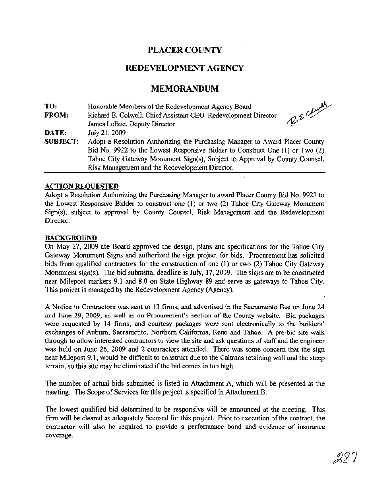# PLACER COUNTY

# REDEVELOPMENT AGENCY

# MEMORANDUM

| TO:             | Honorable Members of the Redevelopment Agency Board                          |
|-----------------|------------------------------------------------------------------------------|
| FROM:           | RE Columb<br>Richard E. Colwell, Chief Assistant CEO–Redevelopment Director  |
|                 | James LoBue, Deputy Director                                                 |
| DATE:           | July 21, 2009                                                                |
| <b>SUBJECT:</b> | Adopt a Resolution Authorizing the Purchasing Manager to Award Placer County |
|                 | Bid No. 9922 to the Lowest Responsive Bidder to Construct One (1) or Two (2) |
|                 | Tahoe City Gateway Monument Sign(s), Subject to Approval by County Counsel,  |
|                 | Risk Management and the Redevelopment Director.                              |

#### ACTION REQUESTED

Adopt a Resolution Authorizing the Purchasing Manager to award Placer County Bid No. 9922 to the Lowest Responsive Bidder to construct one (1) or two (2) Tahoe City Gateway Monument Sign(s), subject to approval by County Counsel, Risk Management and the Redevelopment Director.

#### **BACKGROUND**

On May 27, 2009 the Board approved the design, plans and specifications for the Tahoe City Gateway Monument Signs and authorized the sign project for bids. Procurement has solicited bids from qualified contractors for the construction of one (1) or two (2) Tahoe City Gateway Monument sign(s). The bid submittal deadline is July, 17,2009. The signs are to be constructed near Milepost markers 9.1 and 8.0 on State Highway 89 and serve as gateways to Tahoe City. This project is managed by the Redevelopment Agency (Agency).

A Notice to Contractors was sent to 13 firms, and advertised in the Sacramento Bee on June 24 and June 29, 2009, as well as on Procurement's section of the County website. Bid packages were requested by 14 firms, and courtesy packages were sent electronically to the builders' exchanges of Auburn, Sacramento, Northern California, Reno and Tahoe. A pre-bid site walk through to allow interested contractors to view the site and ask questions of staff and the engineer was held on June 26, 2009 and 2 contractors attended. There was some concern that the sign near Milepost 9.1, would be difficult to construct due to the Caltrans retaining wall and the steep terrain, so this site may be eliminated if the bid comes in too high.

The number of actual bids submitted is listed in Attachment A, which will be presented at the meeting. The Scope of Services for this project is specified in Attachment B.

The lowest qualified bid determined to be responsive will be announced at the meeting. This firm will be cleared as adequately licensed for this project. Prior to execution of the contract, the contractor will also be required to provide a performance bond and evidence of insurance coverage.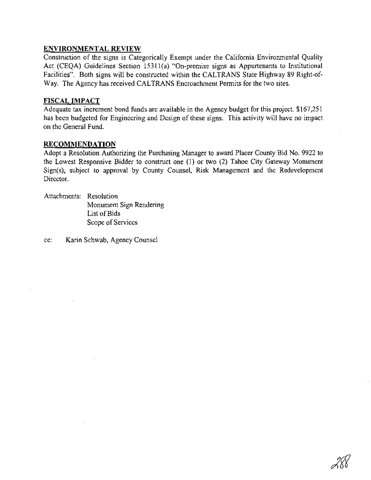# **ENVIRONMENTAL REVIEW**

Construction of the signs is Categorically Exempt under the California Environmental Quality Act (CEQA) Guidelines Section 15311(a) "On-premise signs as Appurtenants to Institutional Facilities". Both signs will be constructed within the CALTRANS State Highway 89 Right-of-Way. The Agency has received CALTRANS Encroachment Permits for the two sites.

# **FISCAL IMPACT**

Adequate tax increment bond funds are available in the Agency budget for this project. \$167,251 has been budgeted for Engineering and Design of these signs. This activity will have no impact on the General Fund.

### **RECOMMENDATION**

Adopt a Resolution Authorizing the Purchasing Manager to award Placer County Bid No. 9922 to the Lowest Responsive Bidder to construct one (1) or two (2) Tahoe City Gateway Monument Sign(s), subject to approval by County Counsel, Risk Management and the Redevelopment Director.

Attachments: Resolution Monument Sign Rendering List of Bids Scope of Services

cc: Karin Schwab, Agency Counsel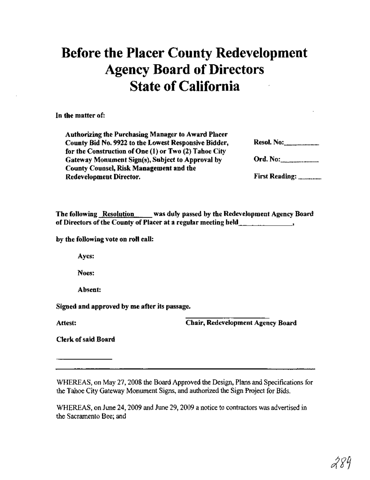# **Before the Placer County Redevelopment Agency Board of Directors State of California**

In the matter of:

| <b>Resol. No:</b> <u>______________</u> __ |
|--------------------------------------------|
|                                            |
| Ord. No:                                   |
|                                            |
| First Reading:                             |
|                                            |

The following Resolution was duly passed by the Redevelopment Agency Board of Directors of the County of Placer at a regular meeting held \_\_\_\_\_\_\_\_\_\_\_\_\_\_\_\_\_

by the following vote on roll call:

Ayes:

Noes:

Absent:

. Signed and approved by me after its passage.

Attest:

Chair, Redevelopment Agency Board

Clerk of said Board

WHEREAS, on May 27,2008 the Board Approved the Design, Plans and Specifications for the Tahoe City Gateway Monwnent Signs, and authorized the Sign Project for Bids.

WHEREAS, on June 24, 2009 and June 29, 2009 a notice to contractors was advertised in the Sacramento Bee; and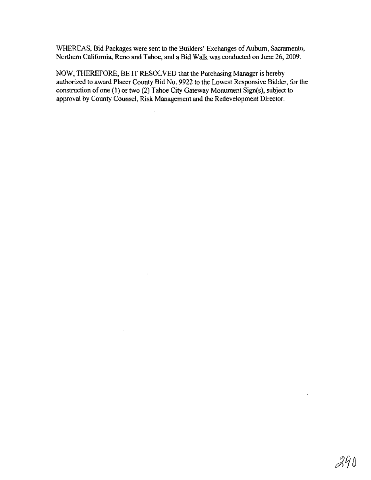WHEREAS, Bid Packages were sent to the Builders' Exchanges of Auburn, Sacramento, Northern California, Reno and Tahoe, and a Bid Walk was conducted on June 26, 2009.

NOW, THEREFORE, BE IT RESOLVED that the Purchasing Manager is hereby authorized to award Placer County Bid No. 9922 to the Lowest Responsive Bidder, for the construction of one (1) or two (2) Tahoe City Gateway Monument Sign(s), subject to approval by County Counsel, Risk Management and the Redevelopment Director.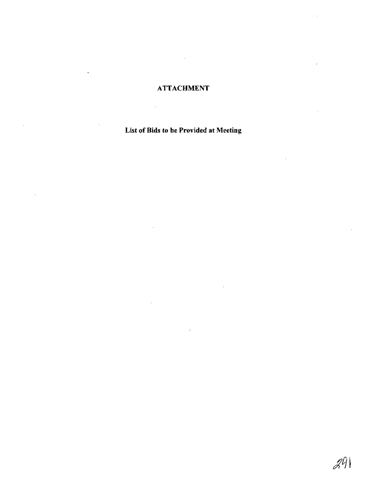# ATTACHMENT

 $\ddot{\phantom{a}}$ 

 $\overline{a}$ 

 $\mathbf{r}$ 

 $\mathcal{L}$ 

l,

 $\bar{z}$ 

List of Bids to be Provided at Meeting

J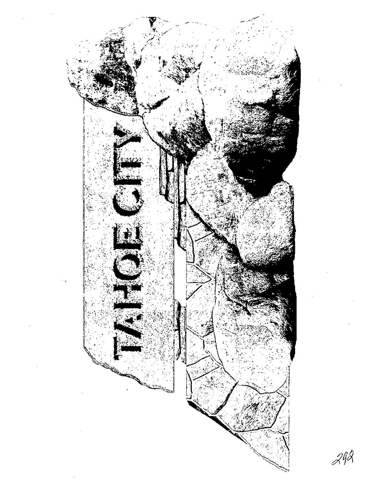

 $\mathscr{A}^{\mathscr{G}\mathscr{A}}$